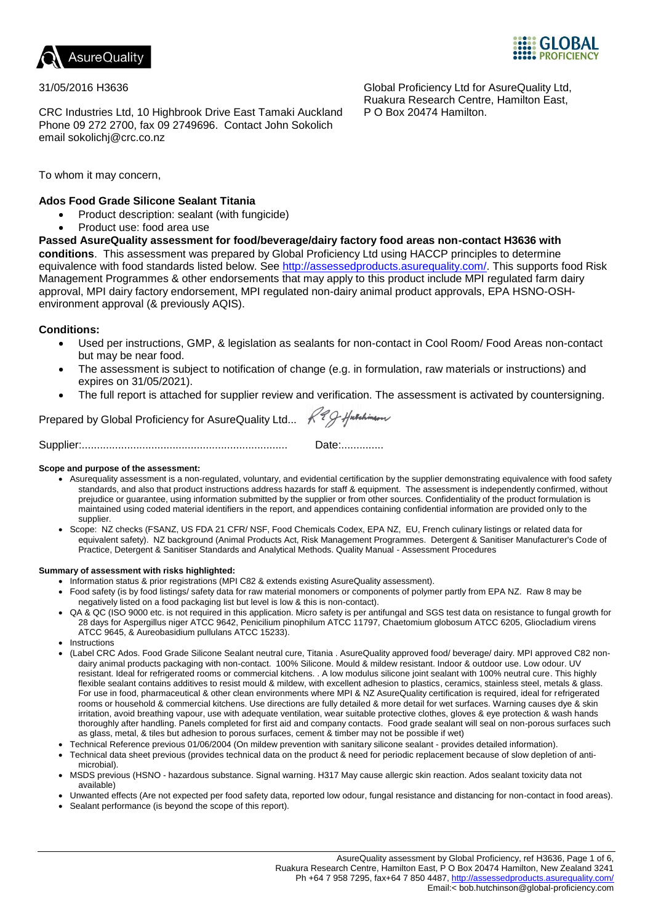



Global Proficiency Ltd for AsureQuality Ltd, Ruakura Research Centre, Hamilton East,

P O Box 20474 Hamilton.

## 31/05/2016 H3636

CRC Industries Ltd, 10 Highbrook Drive East Tamaki Auckland Phone 09 272 2700, fax 09 2749696. Contact John Sokolich email sokolichj@crc.co.nz

To whom it may concern,

# **Ados Food Grade Silicone Sealant Titania**

- Product description: sealant (with fungicide)
- Product use: food area use

**Passed AsureQuality assessment for food/beverage/dairy factory food areas non-contact H3636 with conditions**. This assessment was prepared by Global Proficiency Ltd using HACCP principles to determine equivalence with food standards listed below. See [http://assessedproducts.asurequality.com/.](http://assessedproducts.asurequality.com/) This supports food Risk Management Programmes & other endorsements that may apply to this product include MPI regulated farm dairy approval, MPI dairy factory endorsement, MPI regulated non-dairy animal product approvals, EPA HSNO-OSHenvironment approval (& previously AQIS).

# **Conditions:**

- Used per instructions, GMP, & legislation as sealants for non-contact in Cool Room/ Food Areas non-contact but may be near food.
- The assessment is subject to notification of change (e.g. in formulation, raw materials or instructions) and expires on 31/05/2021).
- The full report is attached for supplier review and verification. The assessment is activated by countersigning.

Prepared by Global Proficiency for AsureQuality Ltd...  $R^2Q$ -Hullehinson

Supplier:.................................................................... Date:..............

### **Scope and purpose of the assessment:**

- Asurequality assessment is a non-regulated, voluntary, and evidential certification by the supplier demonstrating equivalence with food safety standards, and also that product instructions address hazards for staff & equipment. The assessment is independently confirmed, without prejudice or guarantee, using information submitted by the supplier or from other sources. Confidentiality of the product formulation is maintained using coded material identifiers in the report, and appendices containing confidential information are provided only to the supplier.
- Scope: NZ checks (FSANZ, US FDA 21 CFR/ NSF, Food Chemicals Codex, EPA NZ, EU, French culinary listings or related data for equivalent safety). NZ background (Animal Products Act, Risk Management Programmes. Detergent & Sanitiser Manufacturer's Code of Practice, Detergent & Sanitiser Standards and Analytical Methods. Quality Manual - Assessment Procedures

### **Summary of assessment with risks highlighted:**

- Information status & prior registrations (MPI C82 & extends existing AsureQuality assessment).
- Food safety (is by food listings/ safety data for raw material monomers or components of polymer partly from EPA NZ. Raw 8 may be negatively listed on a food packaging list but level is low & this is non-contact).
- QA & QC (ISO 9000 etc. is not required in this application. Micro safety is per antifungal and SGS test data on resistance to fungal growth for 28 days for Aspergillus niger ATCC 9642, Penicilium pinophilum ATCC 11797, Chaetomium globosum ATCC 6205, Gliocladium virens ATCC 9645, & Aureobasidium pullulans ATCC 15233).
- Instructions
- (Label CRC Ados. Food Grade Silicone Sealant neutral cure, Titania . AsureQuality approved food/ beverage/ dairy. MPI approved C82 nondairy animal products packaging with non-contact. 100% Silicone. Mould & mildew resistant. Indoor & outdoor use. Low odour. UV resistant. Ideal for refrigerated rooms or commercial kitchens. . A low modulus silicone joint sealant with 100% neutral cure. This highly flexible sealant contains additives to resist mould & mildew, with excellent adhesion to plastics, ceramics, stainless steel, metals & glass. For use in food, pharmaceutical & other clean environments where MPI & NZ AsureQuality certification is required, ideal for refrigerated rooms or household & commercial kitchens. Use directions are fully detailed & more detail for wet surfaces. Warning causes dye & skin irritation, avoid breathing vapour, use with adequate ventilation, wear suitable protective clothes, gloves & eye protection & wash hands thoroughly after handling. Panels completed for first aid and company contacts. Food grade sealant will seal on non-porous surfaces such as glass, metal, & tiles but adhesion to porous surfaces, cement & timber may not be possible if wet)
- Technical Reference previous 01/06/2004 (On mildew prevention with sanitary silicone sealant provides detailed information).
- Technical data sheet previous (provides technical data on the product & need for periodic replacement because of slow depletion of antimicrobial).
- MSDS previous (HSNO hazardous substance. Signal warning. H317 May cause allergic skin reaction. Ados sealant toxicity data not available)
- Unwanted effects (Are not expected per food safety data, reported low odour, fungal resistance and distancing for non-contact in food areas).
- Sealant performance (is beyond the scope of this report).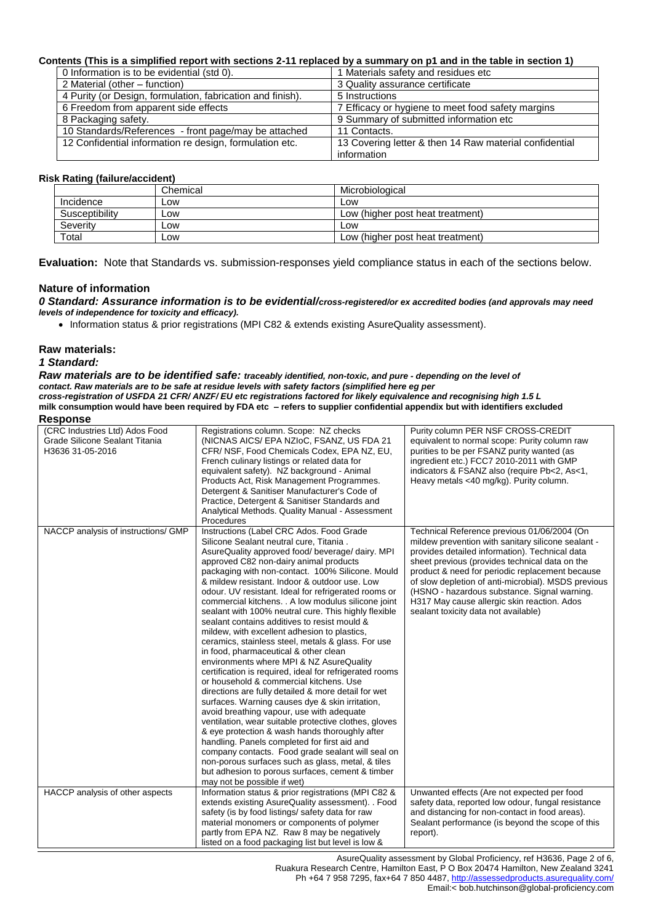#### **Contents (This is a simplified report with sections 2-11 replaced by a summary on p1 and in the table in section 1)**

| 0 Information is to be evidential (std 0).                 | 1 Materials safety and residues etc                    |
|------------------------------------------------------------|--------------------------------------------------------|
| 2 Material (other – function)                              | 3 Quality assurance certificate                        |
| 4 Purity (or Design, formulation, fabrication and finish). | 5 Instructions                                         |
| 6 Freedom from apparent side effects                       | 7 Efficacy or hygiene to meet food safety margins      |
| 8 Packaging safety.                                        | 9 Summary of submitted information etc                 |
| 10 Standards/References - front page/may be attached       | 11 Contacts.                                           |
| 12 Confidential information re design, formulation etc.    | 13 Covering letter & then 14 Raw material confidential |
|                                                            | information                                            |

#### **Risk Rating (failure/accident)**

|                | Chemical   | Microbiological                  |
|----------------|------------|----------------------------------|
| Incidence      | LOW        | Low                              |
| Susceptibility | LOW        | Low (higher post heat treatment) |
| Severity       | <b>LOW</b> | Low                              |
| Total          | _ow        | Low (higher post heat treatment) |

**Evaluation:** Note that Standards vs. submission-responses yield compliance status in each of the sections below.

## **Nature of information**

*0 Standard: Assurance information is to be evidential/cross-registered/or ex accredited bodies (and approvals may need levels of independence for toxicity and efficacy).*

• Information status & prior registrations (MPI C82 & extends existing AsureQuality assessment).

### **Raw materials:**

#### *1 Standard:*

*Raw materials are to be identified safe: traceably identified, non-toxic, and pure - depending on the level of contact. Raw materials are to be safe at residue levels with safety factors (simplified here eg per cross-registration of USFDA 21 CFR/ ANZF/ EU etc registrations factored for likely equivalence and recognising high 1.5 L*  **milk consumption would have been required by FDA etc – refers to supplier confidential appendix but with identifiers excluded Response**

| .                                                                                    |                                                                                                                                                                                                                                                                                                                                                                                                                                                                                                                                                                                                                                                                                                                                                                                                                                                                                                                                                                                                                                                                                                                                                                                                                                                                                                                             |                                                                                                                                                                                                                                                                                                                                                                                                                                                        |
|--------------------------------------------------------------------------------------|-----------------------------------------------------------------------------------------------------------------------------------------------------------------------------------------------------------------------------------------------------------------------------------------------------------------------------------------------------------------------------------------------------------------------------------------------------------------------------------------------------------------------------------------------------------------------------------------------------------------------------------------------------------------------------------------------------------------------------------------------------------------------------------------------------------------------------------------------------------------------------------------------------------------------------------------------------------------------------------------------------------------------------------------------------------------------------------------------------------------------------------------------------------------------------------------------------------------------------------------------------------------------------------------------------------------------------|--------------------------------------------------------------------------------------------------------------------------------------------------------------------------------------------------------------------------------------------------------------------------------------------------------------------------------------------------------------------------------------------------------------------------------------------------------|
| (CRC Industries Ltd) Ados Food<br>Grade Silicone Sealant Titania<br>H3636 31-05-2016 | Registrations column. Scope: NZ checks<br>(NICNAS AICS/EPA NZIOC, FSANZ, US FDA 21<br>CFR/ NSF, Food Chemicals Codex, EPA NZ, EU,<br>French culinary listings or related data for<br>equivalent safety). NZ background - Animal<br>Products Act, Risk Management Programmes.<br>Detergent & Sanitiser Manufacturer's Code of<br>Practice, Detergent & Sanitiser Standards and<br>Analytical Methods. Quality Manual - Assessment<br>Procedures                                                                                                                                                                                                                                                                                                                                                                                                                                                                                                                                                                                                                                                                                                                                                                                                                                                                              | Purity column PER NSF CROSS-CREDIT<br>equivalent to normal scope: Purity column raw<br>purities to be per FSANZ purity wanted (as<br>ingredient etc.) FCC7 2010-2011 with GMP<br>indicators & FSANZ also (require Pb<2, As<1,<br>Heavy metals <40 mg/kg). Purity column.                                                                                                                                                                               |
| NACCP analysis of instructions/ GMP                                                  | Instructions (Label CRC Ados. Food Grade<br>Silicone Sealant neutral cure, Titania.<br>AsureQuality approved food/beverage/dairy. MPI<br>approved C82 non-dairy animal products<br>packaging with non-contact. 100% Silicone. Mould<br>& mildew resistant. Indoor & outdoor use. Low<br>odour. UV resistant. Ideal for refrigerated rooms or<br>commercial kitchens. . A low modulus silicone joint<br>sealant with 100% neutral cure. This highly flexible<br>sealant contains additives to resist mould &<br>mildew, with excellent adhesion to plastics,<br>ceramics, stainless steel, metals & glass. For use<br>in food, pharmaceutical & other clean<br>environments where MPI & NZ AsureQuality<br>certification is required, ideal for refrigerated rooms<br>or household & commercial kitchens. Use<br>directions are fully detailed & more detail for wet<br>surfaces. Warning causes dye & skin irritation,<br>avoid breathing vapour, use with adequate<br>ventilation, wear suitable protective clothes, gloves<br>& eye protection & wash hands thoroughly after<br>handling. Panels completed for first aid and<br>company contacts. Food grade sealant will seal on<br>non-porous surfaces such as glass, metal, & tiles<br>but adhesion to porous surfaces, cement & timber<br>may not be possible if wet) | Technical Reference previous 01/06/2004 (On<br>mildew prevention with sanitary silicone sealant -<br>provides detailed information). Technical data<br>sheet previous (provides technical data on the<br>product & need for periodic replacement because<br>of slow depletion of anti-microbial). MSDS previous<br>(HSNO - hazardous substance. Signal warning.<br>H317 May cause allergic skin reaction. Ados<br>sealant toxicity data not available) |
| HACCP analysis of other aspects                                                      | Information status & prior registrations (MPI C82 &<br>extends existing AsureQuality assessment). Food<br>safety (is by food listings/safety data for raw<br>material monomers or components of polymer<br>partly from EPA NZ. Raw 8 may be negatively                                                                                                                                                                                                                                                                                                                                                                                                                                                                                                                                                                                                                                                                                                                                                                                                                                                                                                                                                                                                                                                                      | Unwanted effects (Are not expected per food<br>safety data, reported low odour, fungal resistance<br>and distancing for non-contact in food areas).<br>Sealant performance (is beyond the scope of this<br>report).                                                                                                                                                                                                                                    |
|                                                                                      | listed on a food packaging list but level is low &                                                                                                                                                                                                                                                                                                                                                                                                                                                                                                                                                                                                                                                                                                                                                                                                                                                                                                                                                                                                                                                                                                                                                                                                                                                                          |                                                                                                                                                                                                                                                                                                                                                                                                                                                        |

AsureQuality assessment by Global Proficiency, ref H3636, Page 2 of 6, Ruakura Research Centre, Hamilton East, P O Box 20474 Hamilton, New Zealand 3241 Ph +64 7 958 7295, fax+64 7 850 4487,<http://assessedproducts.asurequality.com/> Email:<br/>
solo.hutchinson@global-proficiency.com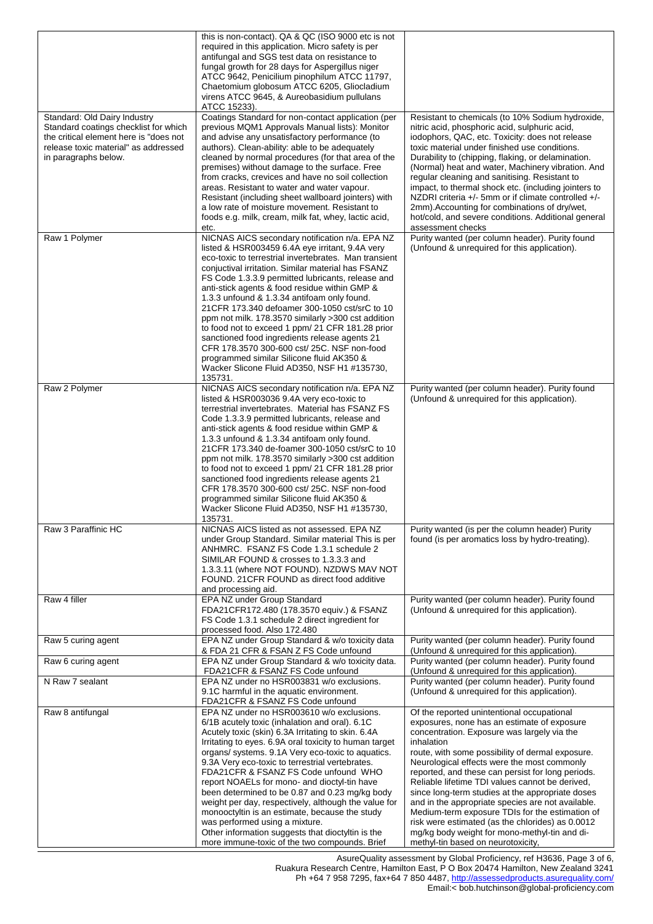|                                                                                                                                                                                 | this is non-contact). QA & QC (ISO 9000 etc is not<br>required in this application. Micro safety is per<br>antifungal and SGS test data on resistance to<br>fungal growth for 28 days for Aspergillus niger<br>ATCC 9642, Penicilium pinophilum ATCC 11797,<br>Chaetomium globosum ATCC 6205, Gliocladium<br>virens ATCC 9645, & Aureobasidium pullulans<br>ATCC 15233).                                                                                                                                                                                                                                                                                                                                                                |                                                                                                                                                                                                                                                                                                                                                                                                                                                                                                                                                                                                                                                                          |
|---------------------------------------------------------------------------------------------------------------------------------------------------------------------------------|-----------------------------------------------------------------------------------------------------------------------------------------------------------------------------------------------------------------------------------------------------------------------------------------------------------------------------------------------------------------------------------------------------------------------------------------------------------------------------------------------------------------------------------------------------------------------------------------------------------------------------------------------------------------------------------------------------------------------------------------|--------------------------------------------------------------------------------------------------------------------------------------------------------------------------------------------------------------------------------------------------------------------------------------------------------------------------------------------------------------------------------------------------------------------------------------------------------------------------------------------------------------------------------------------------------------------------------------------------------------------------------------------------------------------------|
| Standard: Old Dairy Industry<br>Standard coatings checklist for which<br>the critical element here is "does not<br>release toxic material" as addressed<br>in paragraphs below. | Coatings Standard for non-contact application (per<br>previous MQM1 Approvals Manual lists): Monitor<br>and advise any unsatisfactory performance (to<br>authors). Clean-ability: able to be adequately<br>cleaned by normal procedures (for that area of the<br>premises) without damage to the surface. Free<br>from cracks, crevices and have no soil collection<br>areas. Resistant to water and water vapour.<br>Resistant (including sheet wallboard jointers) with<br>a low rate of moisture movement. Resistant to<br>foods e.g. milk, cream, milk fat, whey, lactic acid,<br>etc.                                                                                                                                              | Resistant to chemicals (to 10% Sodium hydroxide,<br>nitric acid, phosphoric acid, sulphuric acid,<br>iodophors, QAC, etc. Toxicity: does not release<br>toxic material under finished use conditions.<br>Durability to (chipping, flaking, or delamination.<br>(Normal) heat and water, Machinery vibration. And<br>regular cleaning and sanitising. Resistant to<br>impact, to thermal shock etc. (including jointers to<br>NZDRI criteria $+/-$ 5mm or if climate controlled $+/-$<br>2mm). Accounting for combinations of dry/wet,<br>hot/cold, and severe conditions. Additional general<br>assessment checks                                                        |
| Raw 1 Polymer                                                                                                                                                                   | NICNAS AICS secondary notification n/a. EPA NZ<br>listed & HSR003459 6.4A eye irritant, 9.4A very<br>eco-toxic to terrestrial invertebrates. Man transient<br>conjuctival irritation. Similar material has FSANZ<br>FS Code 1.3.3.9 permitted lubricants, release and<br>anti-stick agents & food residue within GMP &<br>1.3.3 unfound & 1.3.34 antifoam only found.<br>21CFR 173.340 defoamer 300-1050 cst/srC to 10<br>ppm not milk. 178.3570 similarly >300 cst addition<br>to food not to exceed 1 ppm/ 21 CFR 181.28 prior<br>sanctioned food ingredients release agents 21<br>CFR 178.3570 300-600 cst/ 25C. NSF non-food<br>programmed similar Silicone fluid AK350 &<br>Wacker Slicone Fluid AD350, NSF H1 #135730,<br>135731. | Purity wanted (per column header). Purity found<br>(Unfound & unrequired for this application).                                                                                                                                                                                                                                                                                                                                                                                                                                                                                                                                                                          |
| Raw 2 Polymer                                                                                                                                                                   | NICNAS AICS secondary notification n/a. EPA NZ<br>listed & HSR003036 9.4A very eco-toxic to<br>terrestrial invertebrates. Material has FSANZ FS<br>Code 1.3.3.9 permitted lubricants, release and<br>anti-stick agents & food residue within GMP &<br>1.3.3 unfound & 1.3.34 antifoam only found.<br>21 CFR 173.340 de-foamer 300-1050 cst/srC to 10<br>ppm not milk. 178.3570 similarly >300 cst addition<br>to food not to exceed 1 ppm/ 21 CFR 181.28 prior<br>sanctioned food ingredients release agents 21<br>CFR 178.3570 300-600 cst/ 25C, NSF non-food<br>programmed similar Silicone fluid AK350 &<br>Wacker Slicone Fluid AD350, NSF H1 #135730,<br>135731.                                                                   | Purity wanted (per column header). Purity found<br>(Unfound & unrequired for this application).                                                                                                                                                                                                                                                                                                                                                                                                                                                                                                                                                                          |
| Raw 3 Paraffinic HC                                                                                                                                                             | NICNAS AICS listed as not assessed. EPA NZ<br>under Group Standard. Similar material This is per<br>ANHMRC. FSANZ FS Code 1.3.1 schedule 2<br>SIMILAR FOUND & crosses to 1.3.3.3 and<br>1.3.3.11 (where NOT FOUND). NZDWS MAV NOT<br>FOUND. 21 CFR FOUND as direct food additive<br>and processing aid.                                                                                                                                                                                                                                                                                                                                                                                                                                 | Purity wanted (is per the column header) Purity<br>found (is per aromatics loss by hydro-treating).                                                                                                                                                                                                                                                                                                                                                                                                                                                                                                                                                                      |
| Raw 4 filler                                                                                                                                                                    | EPA NZ under Group Standard<br>FDA21CFR172.480 (178.3570 equiv.) & FSANZ<br>FS Code 1.3.1 schedule 2 direct ingredient for<br>processed food. Also 172.480                                                                                                                                                                                                                                                                                                                                                                                                                                                                                                                                                                              | Purity wanted (per column header). Purity found<br>(Unfound & unrequired for this application).                                                                                                                                                                                                                                                                                                                                                                                                                                                                                                                                                                          |
| Raw 5 curing agent                                                                                                                                                              | EPA NZ under Group Standard & w/o toxicity data<br>& FDA 21 CFR & FSAN Z FS Code unfound                                                                                                                                                                                                                                                                                                                                                                                                                                                                                                                                                                                                                                                | Purity wanted (per column header). Purity found<br>(Unfound & unrequired for this application).                                                                                                                                                                                                                                                                                                                                                                                                                                                                                                                                                                          |
| Raw 6 curing agent                                                                                                                                                              | EPA NZ under Group Standard & w/o toxicity data.<br>FDA21CFR & FSANZ FS Code unfound                                                                                                                                                                                                                                                                                                                                                                                                                                                                                                                                                                                                                                                    | Purity wanted (per column header). Purity found<br>(Unfound & unrequired for this application).                                                                                                                                                                                                                                                                                                                                                                                                                                                                                                                                                                          |
| N Raw 7 sealant                                                                                                                                                                 | EPA NZ under no HSR003831 w/o exclusions.<br>9.1C harmful in the aquatic environment.<br>FDA21CFR & FSANZ FS Code unfound                                                                                                                                                                                                                                                                                                                                                                                                                                                                                                                                                                                                               | Purity wanted (per column header). Purity found<br>(Unfound & unrequired for this application).                                                                                                                                                                                                                                                                                                                                                                                                                                                                                                                                                                          |
| Raw 8 antifungal                                                                                                                                                                | EPA NZ under no HSR003610 w/o exclusions.<br>6/1B acutely toxic (inhalation and oral). 6.1C<br>Acutely toxic (skin) 6.3A Irritating to skin. 6.4A<br>Irritating to eyes. 6.9A oral toxicity to human target<br>organs/ systems. 9.1A Very eco-toxic to aquatics.<br>9.3A Very eco-toxic to terrestrial vertebrates.<br>FDA21CFR & FSANZ FS Code unfound WHO<br>report NOAELs for mono- and dioctyl-tin have<br>been determined to be 0.87 and 0.23 mg/kg body<br>weight per day, respectively, although the value for<br>monooctyltin is an estimate, because the study<br>was performed using a mixture.<br>Other information suggests that dioctyltin is the<br>more immune-toxic of the two compounds. Brief                         | Of the reported unintentional occupational<br>exposures, none has an estimate of exposure<br>concentration. Exposure was largely via the<br>inhalation<br>route, with some possibility of dermal exposure.<br>Neurological effects were the most commonly<br>reported, and these can persist for long periods.<br>Reliable lifetime TDI values cannot be derived,<br>since long-term studies at the appropriate doses<br>and in the appropriate species are not available.<br>Medium-term exposure TDIs for the estimation of<br>risk were estimated (as the chlorides) as 0.0012<br>mg/kg body weight for mono-methyl-tin and di-<br>methyl-tin based on neurotoxicity, |

AsureQuality assessment by Global Proficiency, ref H3636, Page 3 of 6, Ruakura Research Centre, Hamilton East, P O Box 20474 Hamilton, New Zealand 3241 Ph +64 7 958 7295, fax+64 7 850 4487,<http://assessedproducts.asurequality.com/> Email:< bob.hutchinson@global-proficiency.com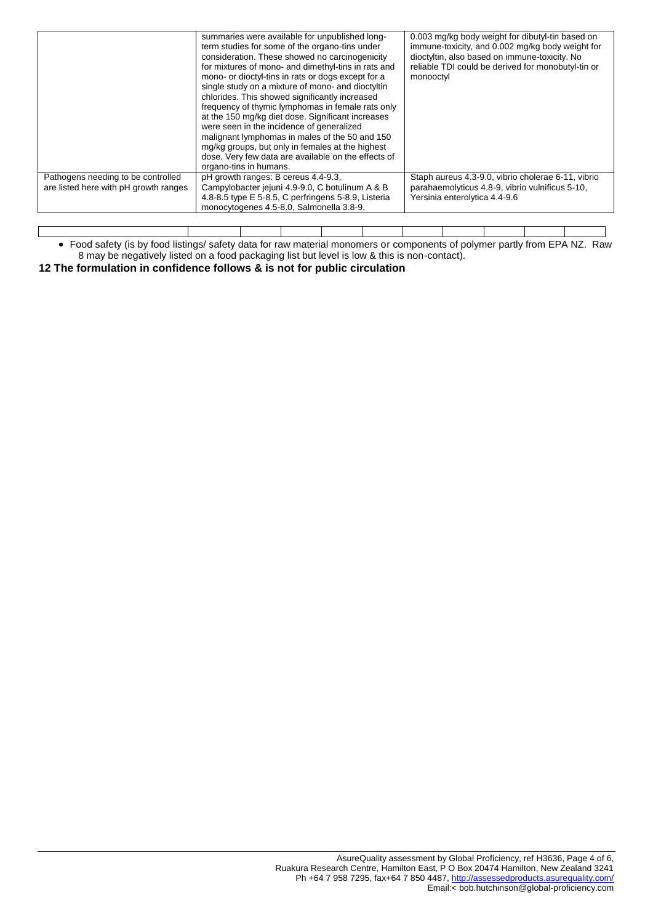|                                                                             | summaries were available for unpublished long-<br>term studies for some of the organo-tins under<br>consideration. These showed no carcinogenicity<br>for mixtures of mono- and dimethyl-tins in rats and<br>mono- or dioctyl-tins in rats or dogs except for a<br>single study on a mixture of mono- and dioctyltin<br>chlorides. This showed significantly increased<br>frequency of thymic lymphomas in female rats only<br>at the 150 mg/kg diet dose. Significant increases<br>were seen in the incidence of generalized<br>malignant lymphomas in males of the 50 and 150<br>mg/kg groups, but only in females at the highest<br>dose. Very few data are available on the effects of<br>organo-tins in humans. | 0.003 mg/kg body weight for dibutyl-tin based on<br>immune-toxicity, and 0.002 mg/kg body weight for<br>dioctyltin, also based on immune-toxicity. No<br>reliable TDI could be derived for monobutyl-tin or<br>monooctyl |
|-----------------------------------------------------------------------------|----------------------------------------------------------------------------------------------------------------------------------------------------------------------------------------------------------------------------------------------------------------------------------------------------------------------------------------------------------------------------------------------------------------------------------------------------------------------------------------------------------------------------------------------------------------------------------------------------------------------------------------------------------------------------------------------------------------------|--------------------------------------------------------------------------------------------------------------------------------------------------------------------------------------------------------------------------|
| Pathogens needing to be controlled<br>are listed here with pH growth ranges | pH growth ranges: B cereus 4.4-9.3,<br>Campylobacter jejuni 4.9-9.0, C botulinum A & B<br>4.8-8.5 type E 5-8.5, C perfringens 5-8.9, Listeria<br>monocytogenes 4.5-8.0, Salmonella 3.8-9,                                                                                                                                                                                                                                                                                                                                                                                                                                                                                                                            | Staph aureus 4.3-9.0, vibrio cholerae 6-11, vibrio<br>parahaemolyticus 4.8-9, vibrio vulnificus 5-10,<br>Yersinia enterolytica 4.4-9.6                                                                                   |

 Food safety (is by food listings/ safety data for raw material monomers or components of polymer partly from EPA NZ. Raw 8 may be negatively listed on a food packaging list but level is low & this is non-contact).

**12 The formulation in confidence follows & is not for public circulation**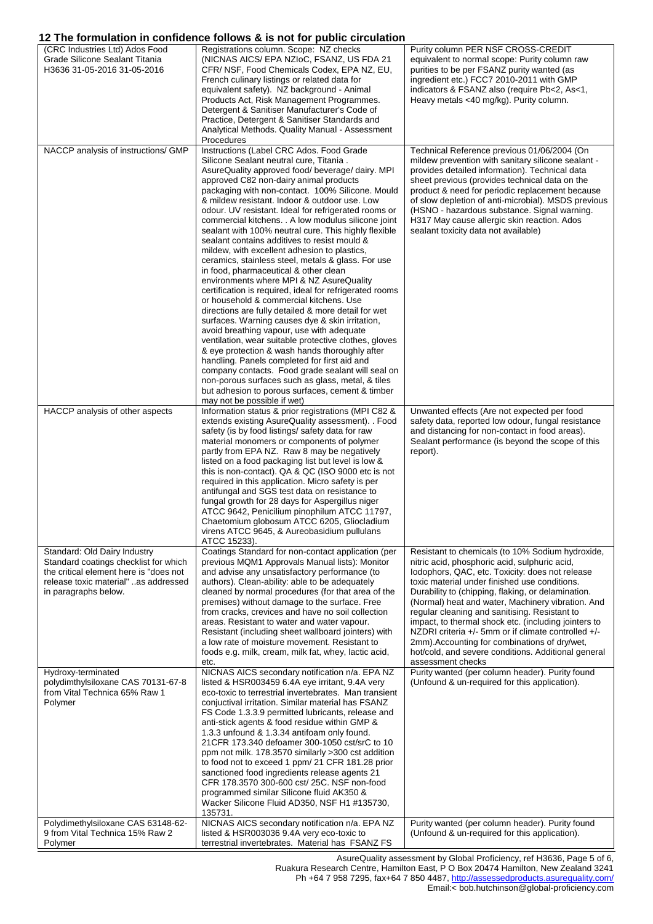## **12 The formulation in confidence follows & is not for public circulation**

| (CRC Industries Ltd) Ados Food<br>Grade Silicone Sealant Titania<br>H3636 31-05-2016 31-05-2016                                                                                 | Registrations column. Scope: NZ checks<br>(NICNAS AICS/ EPA NZIoC, FSANZ, US FDA 21<br>CFR/ NSF, Food Chemicals Codex, EPA NZ, EU,<br>French culinary listings or related data for<br>equivalent safety). NZ background - Animal<br>Products Act, Risk Management Programmes.<br>Detergent & Sanitiser Manufacturer's Code of<br>Practice, Detergent & Sanitiser Standards and<br>Analytical Methods. Quality Manual - Assessment<br>Procedures                                                                                                                                                                                                                                                                                                                                                                                                                                                                                                                                                                                                                                                                                                                                                                                                                                                                               | Purity column PER NSF CROSS-CREDIT<br>equivalent to normal scope: Purity column raw<br>purities to be per FSANZ purity wanted (as<br>ingredient etc.) FCC7 2010-2011 with GMP<br>indicators & FSANZ also (require Pb<2, As<1,<br>Heavy metals <40 mg/kg). Purity column.                                                                                                                                                                                                                                                                                                                                          |
|---------------------------------------------------------------------------------------------------------------------------------------------------------------------------------|-------------------------------------------------------------------------------------------------------------------------------------------------------------------------------------------------------------------------------------------------------------------------------------------------------------------------------------------------------------------------------------------------------------------------------------------------------------------------------------------------------------------------------------------------------------------------------------------------------------------------------------------------------------------------------------------------------------------------------------------------------------------------------------------------------------------------------------------------------------------------------------------------------------------------------------------------------------------------------------------------------------------------------------------------------------------------------------------------------------------------------------------------------------------------------------------------------------------------------------------------------------------------------------------------------------------------------|-------------------------------------------------------------------------------------------------------------------------------------------------------------------------------------------------------------------------------------------------------------------------------------------------------------------------------------------------------------------------------------------------------------------------------------------------------------------------------------------------------------------------------------------------------------------------------------------------------------------|
| NACCP analysis of instructions/ GMP                                                                                                                                             | Instructions (Label CRC Ados. Food Grade<br>Silicone Sealant neutral cure, Titania.<br>AsureQuality approved food/ beverage/ dairy. MPI<br>approved C82 non-dairy animal products<br>packaging with non-contact. 100% Silicone. Mould<br>& mildew resistant. Indoor & outdoor use. Low<br>odour. UV resistant. Ideal for refrigerated rooms or<br>commercial kitchens. . A low modulus silicone joint<br>sealant with 100% neutral cure. This highly flexible<br>sealant contains additives to resist mould &<br>mildew, with excellent adhesion to plastics,<br>ceramics, stainless steel, metals & glass. For use<br>in food, pharmaceutical & other clean<br>environments where MPI & NZ AsureQuality<br>certification is required, ideal for refrigerated rooms<br>or household & commercial kitchens. Use<br>directions are fully detailed & more detail for wet<br>surfaces. Warning causes dye & skin irritation,<br>avoid breathing vapour, use with adequate<br>ventilation, wear suitable protective clothes, gloves<br>& eye protection & wash hands thoroughly after<br>handling. Panels completed for first aid and<br>company contacts. Food grade sealant will seal on<br>non-porous surfaces such as glass, metal, & tiles<br>but adhesion to porous surfaces, cement & timber<br>may not be possible if wet) | Technical Reference previous 01/06/2004 (On<br>mildew prevention with sanitary silicone sealant -<br>provides detailed information). Technical data<br>sheet previous (provides technical data on the<br>product & need for periodic replacement because<br>of slow depletion of anti-microbial). MSDS previous<br>(HSNO - hazardous substance. Signal warning.<br>H317 May cause allergic skin reaction. Ados<br>sealant toxicity data not available)                                                                                                                                                            |
| HACCP analysis of other aspects                                                                                                                                                 | Information status & prior registrations (MPI C82 &<br>extends existing AsureQuality assessment). . Food<br>safety (is by food listings/safety data for raw<br>material monomers or components of polymer<br>partly from EPA NZ. Raw 8 may be negatively<br>listed on a food packaging list but level is low &<br>this is non-contact). QA & QC (ISO 9000 etc is not<br>required in this application. Micro safety is per<br>antifungal and SGS test data on resistance to<br>fungal growth for 28 days for Aspergillus niger<br>ATCC 9642, Penicilium pinophilum ATCC 11797,<br>Chaetomium globosum ATCC 6205, Gliocladium<br>virens ATCC 9645, & Aureobasidium pullulans<br>ATCC 15233).                                                                                                                                                                                                                                                                                                                                                                                                                                                                                                                                                                                                                                    | Unwanted effects (Are not expected per food<br>safety data, reported low odour, fungal resistance<br>and distancing for non-contact in food areas).<br>Sealant performance (is beyond the scope of this<br>report).                                                                                                                                                                                                                                                                                                                                                                                               |
| Standard: Old Dairy Industry<br>Standard coatings checklist for which<br>the critical element here is "does not<br>release toxic material" as addressed<br>in paragraphs below. | Coatings Standard for non-contact application (per<br>previous MQM1 Approvals Manual lists): Monitor<br>and advise any unsatisfactory performance (to<br>authors). Clean-ability: able to be adequately<br>cleaned by normal procedures (for that area of the<br>premises) without damage to the surface. Free<br>from cracks, crevices and have no soil collection<br>areas. Resistant to water and water vapour.<br>Resistant (including sheet wallboard jointers) with<br>a low rate of moisture movement. Resistant to<br>foods e.g. milk, cream, milk fat, whey, lactic acid,<br>etc.                                                                                                                                                                                                                                                                                                                                                                                                                                                                                                                                                                                                                                                                                                                                    | Resistant to chemicals (to 10% Sodium hydroxide,<br>nitric acid, phosphoric acid, sulphuric acid,<br>lodophors, QAC, etc. Toxicity: does not release<br>toxic material under finished use conditions.<br>Durability to (chipping, flaking, or delamination.<br>(Normal) heat and water, Machinery vibration. And<br>regular cleaning and sanitising. Resistant to<br>impact, to thermal shock etc. (including jointers to<br>NZDRI criteria $+/-$ 5mm or if climate controlled $+/-$<br>2mm). Accounting for combinations of dry/wet,<br>hot/cold, and severe conditions. Additional general<br>assessment checks |
| Hydroxy-terminated<br>polydimthylsiloxane CAS 70131-67-8<br>from Vital Technica 65% Raw 1<br>Polymer                                                                            | NICNAS AICS secondary notification n/a. EPA NZ<br>listed & HSR003459 6.4A eye irritant, 9.4A very<br>eco-toxic to terrestrial invertebrates. Man transient<br>conjuctival irritation. Similar material has FSANZ<br>FS Code 1.3.3.9 permitted lubricants, release and<br>anti-stick agents & food residue within GMP &<br>1.3.3 unfound & 1.3.34 antifoam only found.<br>21 CFR 173.340 defoamer 300-1050 cst/srC to 10<br>ppm not milk. 178.3570 similarly >300 cst addition<br>to food not to exceed 1 ppm/ 21 CFR 181.28 prior<br>sanctioned food ingredients release agents 21<br>CFR 178.3570 300-600 cst/ 25C. NSF non-food<br>programmed similar Silicone fluid AK350 &<br>Wacker Silicone Fluid AD350, NSF H1 #135730,<br>135731.                                                                                                                                                                                                                                                                                                                                                                                                                                                                                                                                                                                     | Purity wanted (per column header). Purity found<br>(Unfound & un-required for this application).                                                                                                                                                                                                                                                                                                                                                                                                                                                                                                                  |
| Polydimethylsiloxane CAS 63148-62-<br>9 from Vital Technica 15% Raw 2<br>Polymer                                                                                                | NICNAS AICS secondary notification n/a. EPA NZ<br>listed & HSR003036 9.4A very eco-toxic to<br>terrestrial invertebrates. Material has FSANZ FS                                                                                                                                                                                                                                                                                                                                                                                                                                                                                                                                                                                                                                                                                                                                                                                                                                                                                                                                                                                                                                                                                                                                                                               | Purity wanted (per column header). Purity found<br>(Unfound & un-required for this application).                                                                                                                                                                                                                                                                                                                                                                                                                                                                                                                  |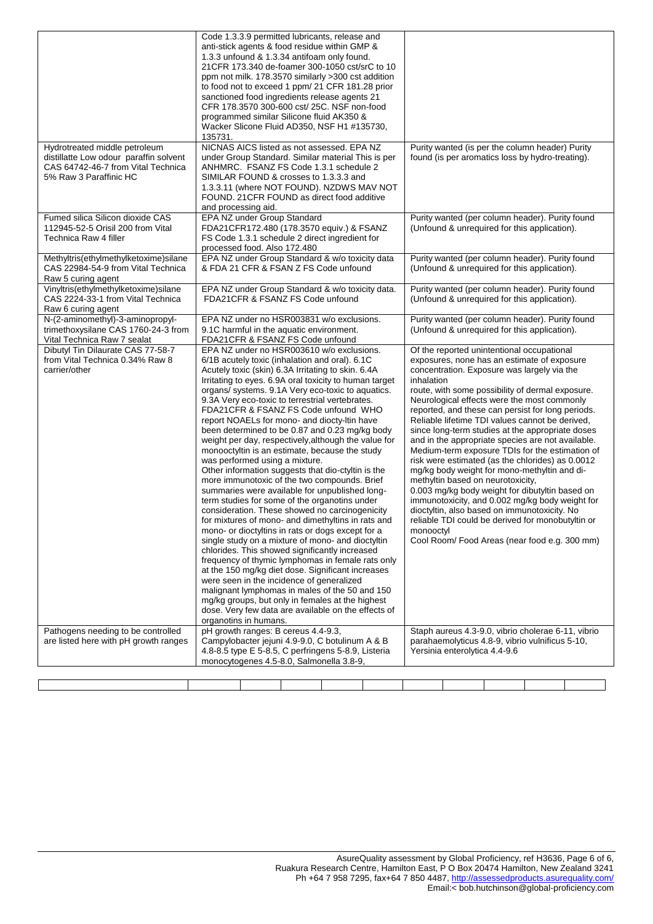| NICNAS AICS listed as not assessed. EPA NZ<br>Hydrotreated middle petroleum<br>Purity wanted (is per the column header) Purity<br>distillatte Low odour paraffin solvent<br>under Group Standard. Similar material This is per<br>found (is per aromatics loss by hydro-treating).<br>CAS 64742-46-7 from Vital Technica<br>ANHMRC. FSANZ FS Code 1.3.1 schedule 2<br>5% Raw 3 Paraffinic HC<br>SIMILAR FOUND & crosses to 1.3.3.3 and<br>1.3.3.11 (where NOT FOUND). NZDWS MAV NOT<br>FOUND. 21 CFR FOUND as direct food additive<br>and processing aid.<br>Fumed silica Silicon dioxide CAS<br>EPA NZ under Group Standard<br>Purity wanted (per column header). Purity found<br>112945-52-5 Orisil 200 from Vital<br>(Unfound & unrequired for this application).<br>FDA21CFR172.480 (178.3570 equiv.) & FSANZ<br>Technica Raw 4 filler<br>FS Code 1.3.1 schedule 2 direct ingredient for<br>processed food. Also 172.480<br>EPA NZ under Group Standard & w/o toxicity data<br>Purity wanted (per column header). Purity found<br>Methyltris(ethylmethylketoxime) silane<br>CAS 22984-54-9 from Vital Technica<br>& FDA 21 CFR & FSAN Z FS Code unfound<br>(Unfound & unrequired for this application).<br>Raw 5 curing agent<br>Vinyltris(ethylmethylketoxime)silane<br>EPA NZ under Group Standard & w/o toxicity data.<br>Purity wanted (per column header). Purity found<br>FDA21CFR & FSANZ FS Code unfound<br>(Unfound & unrequired for this application).<br>CAS 2224-33-1 from Vital Technica<br>Raw 6 curing agent<br>N-(2-aminomethyl)-3-aminopropyl-<br>EPA NZ under no HSR003831 w/o exclusions.<br>Purity wanted (per column header). Purity found<br>trimethoxysilane CAS 1760-24-3 from<br>(Unfound & unrequired for this application).<br>9.1C harmful in the aquatic environment.<br>Vital Technica Raw 7 sealat<br>FDA21CFR & FSANZ FS Code unfound<br>Dibutyl Tin Dilaurate CAS 77-58-7<br>EPA NZ under no HSR003610 w/o exclusions.<br>Of the reported unintentional occupational<br>from Vital Technica 0.34% Raw 8<br>exposures, none has an estimate of exposure<br>6/1B acutely toxic (inhalation and oral). 6.1C<br>carrier/other<br>concentration. Exposure was largely via the<br>Acutely toxic (skin) 6.3A Irritating to skin. 6.4A<br>Irritating to eyes. 6.9A oral toxicity to human target<br>inhalation<br>organs/ systems. 9.1A Very eco-toxic to aquatics.<br>route, with some possibility of dermal exposure.<br>9.3A Very eco-toxic to terrestrial vertebrates.<br>Neurological effects were the most commonly<br>FDA21CFR & FSANZ FS Code unfound WHO<br>reported, and these can persist for long periods.<br>report NOAELs for mono- and diocty-Itin have<br>Reliable lifetime TDI values cannot be derived,<br>been determined to be 0.87 and 0.23 mg/kg body<br>since long-term studies at the appropriate doses<br>weight per day, respectively, although the value for<br>and in the appropriate species are not available.<br>monooctyltin is an estimate, because the study<br>Medium-term exposure TDIs for the estimation of<br>was performed using a mixture.<br>risk were estimated (as the chlorides) as 0.0012<br>Other information suggests that dio-ctyltin is the<br>mg/kg body weight for mono-methyltin and di-<br>more immunotoxic of the two compounds. Brief<br>methyltin based on neurotoxicity,<br>summaries were available for unpublished long-<br>0.003 mg/kg body weight for dibutyltin based on<br>term studies for some of the organotins under<br>immunotoxicity, and 0.002 mg/kg body weight for<br>consideration. These showed no carcinogenicity<br>dioctyltin, also based on immunotoxicity. No<br>for mixtures of mono- and dimethyltins in rats and<br>reliable TDI could be derived for monobutyltin or<br>mono- or dioctyltins in rats or dogs except for a<br>monooctyl<br>single study on a mixture of mono- and dioctyltin<br>Cool Room/Food Areas (near food e.g. 300 mm)<br>chlorides. This showed significantly increased<br>frequency of thymic lymphomas in female rats only<br>at the 150 mg/kg diet dose. Significant increases<br>were seen in the incidence of generalized<br>malignant lymphomas in males of the 50 and 150<br>mg/kg groups, but only in females at the highest<br>dose. Very few data are available on the effects of<br>organotins in humans.<br>pH growth ranges: B cereus 4.4-9.3,<br>Pathogens needing to be controlled<br>Staph aureus 4.3-9.0, vibrio cholerae 6-11, vibrio<br>are listed here with pH growth ranges<br>Campylobacter jejuni 4.9-9.0, C botulinum A & B<br>parahaemolyticus 4.8-9, vibrio vulnificus 5-10,<br>4.8-8.5 type E 5-8.5, C perfringens 5-8.9, Listeria<br>Yersinia enterolytica 4.4-9.6<br>monocytogenes 4.5-8.0, Salmonella 3.8-9, | Code 1.3.3.9 permitted lubricants, release and<br>anti-stick agents & food residue within GMP &<br>1.3.3 unfound & 1.3.34 antifoam only found.<br>21 CFR 173.340 de-foamer 300-1050 cst/srC to 10<br>ppm not milk. 178.3570 similarly >300 cst addition<br>to food not to exceed 1 ppm/ 21 CFR 181.28 prior<br>sanctioned food ingredients release agents 21<br>CFR 178.3570 300-600 cst/ 25C. NSF non-food<br>programmed similar Silicone fluid AK350 &<br>Wacker Slicone Fluid AD350, NSF H1 #135730,<br>135731. |  |
|-----------------------------------------------------------------------------------------------------------------------------------------------------------------------------------------------------------------------------------------------------------------------------------------------------------------------------------------------------------------------------------------------------------------------------------------------------------------------------------------------------------------------------------------------------------------------------------------------------------------------------------------------------------------------------------------------------------------------------------------------------------------------------------------------------------------------------------------------------------------------------------------------------------------------------------------------------------------------------------------------------------------------------------------------------------------------------------------------------------------------------------------------------------------------------------------------------------------------------------------------------------------------------------------------------------------------------------------------------------------------------------------------------------------------------------------------------------------------------------------------------------------------------------------------------------------------------------------------------------------------------------------------------------------------------------------------------------------------------------------------------------------------------------------------------------------------------------------------------------------------------------------------------------------------------------------------------------------------------------------------------------------------------------------------------------------------------------------------------------------------------------------------------------------------------------------------------------------------------------------------------------------------------------------------------------------------------------------------------------------------------------------------------------------------------------------------------------------------------------------------------------------------------------------------------------------------------------------------------------------------------------------------------------------------------------------------------------------------------------------------------------------------------------------------------------------------------------------------------------------------------------------------------------------------------------------------------------------------------------------------------------------------------------------------------------------------------------------------------------------------------------------------------------------------------------------------------------------------------------------------------------------------------------------------------------------------------------------------------------------------------------------------------------------------------------------------------------------------------------------------------------------------------------------------------------------------------------------------------------------------------------------------------------------------------------------------------------------------------------------------------------------------------------------------------------------------------------------------------------------------------------------------------------------------------------------------------------------------------------------------------------------------------------------------------------------------------------------------------------------------------------------------------------------------------------------------------------------------------------------------------------------------------------------------------------------------------------------------------------------------------------------------------------------------------------------------------------------------------------------------------------------------------------------------------------------------------------------------------------------------------------------------------------------------------------------------------------------------------------------------------------------------------------|--------------------------------------------------------------------------------------------------------------------------------------------------------------------------------------------------------------------------------------------------------------------------------------------------------------------------------------------------------------------------------------------------------------------------------------------------------------------------------------------------------------------|--|
|                                                                                                                                                                                                                                                                                                                                                                                                                                                                                                                                                                                                                                                                                                                                                                                                                                                                                                                                                                                                                                                                                                                                                                                                                                                                                                                                                                                                                                                                                                                                                                                                                                                                                                                                                                                                                                                                                                                                                                                                                                                                                                                                                                                                                                                                                                                                                                                                                                                                                                                                                                                                                                                                                                                                                                                                                                                                                                                                                                                                                                                                                                                                                                                                                                                                                                                                                                                                                                                                                                                                                                                                                                                                                                                                                                                                                                                                                                                                                                                                                                                                                                                                                                                                                                                                                                                                                                                                                                                                                                                                                                                                                                                                                                                                                                                   |                                                                                                                                                                                                                                                                                                                                                                                                                                                                                                                    |  |
|                                                                                                                                                                                                                                                                                                                                                                                                                                                                                                                                                                                                                                                                                                                                                                                                                                                                                                                                                                                                                                                                                                                                                                                                                                                                                                                                                                                                                                                                                                                                                                                                                                                                                                                                                                                                                                                                                                                                                                                                                                                                                                                                                                                                                                                                                                                                                                                                                                                                                                                                                                                                                                                                                                                                                                                                                                                                                                                                                                                                                                                                                                                                                                                                                                                                                                                                                                                                                                                                                                                                                                                                                                                                                                                                                                                                                                                                                                                                                                                                                                                                                                                                                                                                                                                                                                                                                                                                                                                                                                                                                                                                                                                                                                                                                                                   |                                                                                                                                                                                                                                                                                                                                                                                                                                                                                                                    |  |
|                                                                                                                                                                                                                                                                                                                                                                                                                                                                                                                                                                                                                                                                                                                                                                                                                                                                                                                                                                                                                                                                                                                                                                                                                                                                                                                                                                                                                                                                                                                                                                                                                                                                                                                                                                                                                                                                                                                                                                                                                                                                                                                                                                                                                                                                                                                                                                                                                                                                                                                                                                                                                                                                                                                                                                                                                                                                                                                                                                                                                                                                                                                                                                                                                                                                                                                                                                                                                                                                                                                                                                                                                                                                                                                                                                                                                                                                                                                                                                                                                                                                                                                                                                                                                                                                                                                                                                                                                                                                                                                                                                                                                                                                                                                                                                                   |                                                                                                                                                                                                                                                                                                                                                                                                                                                                                                                    |  |
|                                                                                                                                                                                                                                                                                                                                                                                                                                                                                                                                                                                                                                                                                                                                                                                                                                                                                                                                                                                                                                                                                                                                                                                                                                                                                                                                                                                                                                                                                                                                                                                                                                                                                                                                                                                                                                                                                                                                                                                                                                                                                                                                                                                                                                                                                                                                                                                                                                                                                                                                                                                                                                                                                                                                                                                                                                                                                                                                                                                                                                                                                                                                                                                                                                                                                                                                                                                                                                                                                                                                                                                                                                                                                                                                                                                                                                                                                                                                                                                                                                                                                                                                                                                                                                                                                                                                                                                                                                                                                                                                                                                                                                                                                                                                                                                   |                                                                                                                                                                                                                                                                                                                                                                                                                                                                                                                    |  |
|                                                                                                                                                                                                                                                                                                                                                                                                                                                                                                                                                                                                                                                                                                                                                                                                                                                                                                                                                                                                                                                                                                                                                                                                                                                                                                                                                                                                                                                                                                                                                                                                                                                                                                                                                                                                                                                                                                                                                                                                                                                                                                                                                                                                                                                                                                                                                                                                                                                                                                                                                                                                                                                                                                                                                                                                                                                                                                                                                                                                                                                                                                                                                                                                                                                                                                                                                                                                                                                                                                                                                                                                                                                                                                                                                                                                                                                                                                                                                                                                                                                                                                                                                                                                                                                                                                                                                                                                                                                                                                                                                                                                                                                                                                                                                                                   |                                                                                                                                                                                                                                                                                                                                                                                                                                                                                                                    |  |
|                                                                                                                                                                                                                                                                                                                                                                                                                                                                                                                                                                                                                                                                                                                                                                                                                                                                                                                                                                                                                                                                                                                                                                                                                                                                                                                                                                                                                                                                                                                                                                                                                                                                                                                                                                                                                                                                                                                                                                                                                                                                                                                                                                                                                                                                                                                                                                                                                                                                                                                                                                                                                                                                                                                                                                                                                                                                                                                                                                                                                                                                                                                                                                                                                                                                                                                                                                                                                                                                                                                                                                                                                                                                                                                                                                                                                                                                                                                                                                                                                                                                                                                                                                                                                                                                                                                                                                                                                                                                                                                                                                                                                                                                                                                                                                                   |                                                                                                                                                                                                                                                                                                                                                                                                                                                                                                                    |  |
|                                                                                                                                                                                                                                                                                                                                                                                                                                                                                                                                                                                                                                                                                                                                                                                                                                                                                                                                                                                                                                                                                                                                                                                                                                                                                                                                                                                                                                                                                                                                                                                                                                                                                                                                                                                                                                                                                                                                                                                                                                                                                                                                                                                                                                                                                                                                                                                                                                                                                                                                                                                                                                                                                                                                                                                                                                                                                                                                                                                                                                                                                                                                                                                                                                                                                                                                                                                                                                                                                                                                                                                                                                                                                                                                                                                                                                                                                                                                                                                                                                                                                                                                                                                                                                                                                                                                                                                                                                                                                                                                                                                                                                                                                                                                                                                   |                                                                                                                                                                                                                                                                                                                                                                                                                                                                                                                    |  |